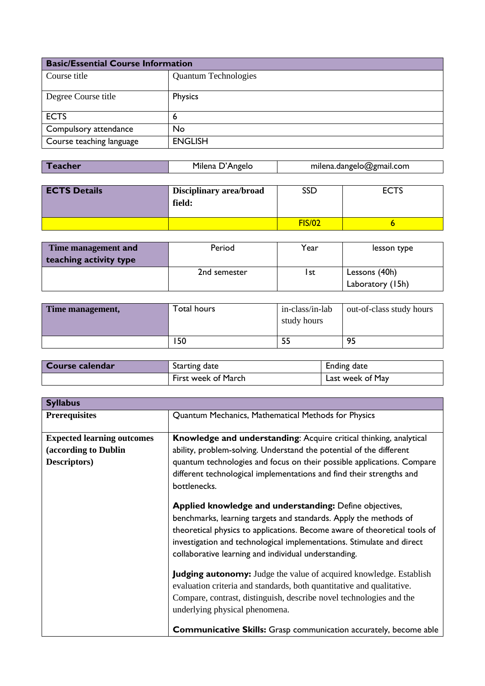| <b>Basic/Essential Course Information</b> |                             |  |
|-------------------------------------------|-----------------------------|--|
| Course title                              | <b>Quantum Technologies</b> |  |
| Degree Course title                       | Physics                     |  |
| <b>ECTS</b>                               | 6                           |  |
| Compulsory attendance                     | No                          |  |
| Course teaching language                  | <b>ENGLISH</b>              |  |

| <b>Teacher</b> | Milena D'Angelo | milena.dangelo@gmail.com |
|----------------|-----------------|--------------------------|
|                |                 |                          |

| <b>ECTS Details</b> | Disciplinary area/broad<br>field: | SSD           | -~-~<br>EC 15 |
|---------------------|-----------------------------------|---------------|---------------|
|                     |                                   | <b>FIS/02</b> |               |

| Time management and    | Period       | Year | lesson type      |
|------------------------|--------------|------|------------------|
| teaching activity type |              |      |                  |
|                        | 2nd semester | l st | Lessons (40h)    |
|                        |              |      | Laboratory (15h) |

| Time management, | Total hours | in-class/in-lab<br>study hours | out-of-class study hours |
|------------------|-------------|--------------------------------|--------------------------|
|                  | 50          |                                | 95                       |

| Course calendar | Starting date       | Ending date      |
|-----------------|---------------------|------------------|
|                 | First week of March | Last week of May |

| <b>Syllabus</b>                                                           |                                                                                                                                                                                                                                                                                                                                           |
|---------------------------------------------------------------------------|-------------------------------------------------------------------------------------------------------------------------------------------------------------------------------------------------------------------------------------------------------------------------------------------------------------------------------------------|
| <b>Prerequisites</b>                                                      | Quantum Mechanics, Mathematical Methods for Physics                                                                                                                                                                                                                                                                                       |
| <b>Expected learning outcomes</b><br>(according to Dublin<br>Descriptors) | Knowledge and understanding: Acquire critical thinking, analytical<br>ability, problem-solving. Understand the potential of the different<br>quantum technologies and focus on their possible applications. Compare<br>different technological implementations and find their strengths and<br>bottlenecks.                               |
|                                                                           | Applied knowledge and understanding: Define objectives,<br>benchmarks, learning targets and standards. Apply the methods of<br>theoretical physics to applications. Become aware of theoretical tools of<br>investigation and technological implementations. Stimulate and direct<br>collaborative learning and individual understanding. |
|                                                                           | <b>Judging autonomy:</b> Judge the value of acquired knowledge. Establish<br>evaluation criteria and standards, both quantitative and qualitative.<br>Compare, contrast, distinguish, describe novel technologies and the<br>underlying physical phenomena.                                                                               |
|                                                                           | <b>Communicative Skills:</b> Grasp communication accurately, become able                                                                                                                                                                                                                                                                  |